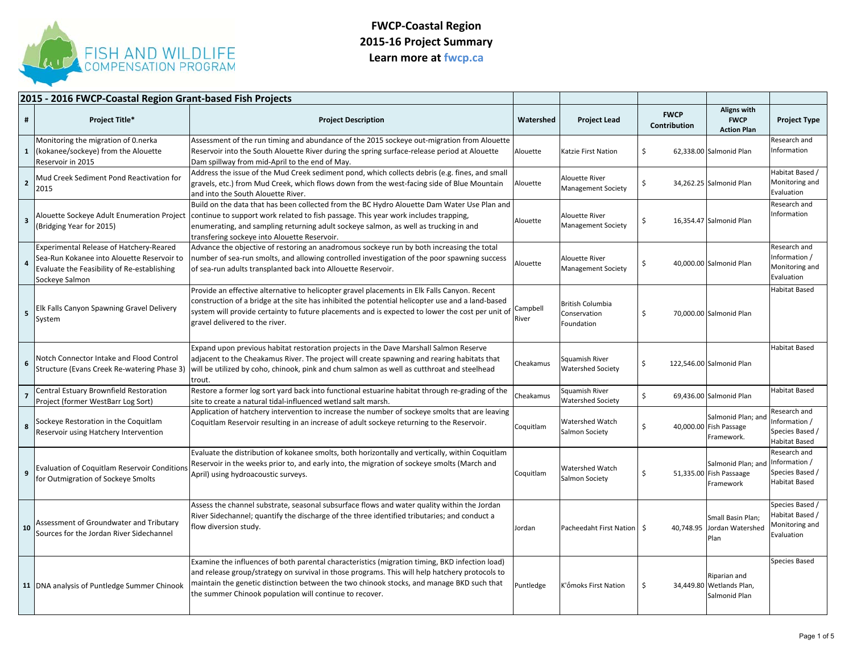

|                         | 2015 - 2016 FWCP-Coastal Region Grant-based Fish Projects                                                                                              |                                                                                                                                                                                                                                                                                                                                                                        |                   |                                                       |                             |                                                            |                                                                    |
|-------------------------|--------------------------------------------------------------------------------------------------------------------------------------------------------|------------------------------------------------------------------------------------------------------------------------------------------------------------------------------------------------------------------------------------------------------------------------------------------------------------------------------------------------------------------------|-------------------|-------------------------------------------------------|-----------------------------|------------------------------------------------------------|--------------------------------------------------------------------|
| #                       | <b>Project Title*</b>                                                                                                                                  | <b>Project Description</b>                                                                                                                                                                                                                                                                                                                                             | Watershed         | <b>Project Lead</b>                                   | <b>FWCP</b><br>Contribution | <b>Aligns with</b><br><b>FWCP</b><br><b>Action Plan</b>    | <b>Project Type</b>                                                |
| $\mathbf{1}$            | Monitoring the migration of 0.nerka<br>(kokanee/sockeye) from the Alouette<br>Reservoir in 2015                                                        | Assessment of the run timing and abundance of the 2015 sockeye out-migration from Alouette<br>Reservoir into the South Alouette River during the spring surface-release period at Alouette<br>Dam spillway from mid-April to the end of May.                                                                                                                           | Alouette          | Katzie First Nation                                   | \$                          | 62,338.00 Salmonid Plan                                    | Research and<br>Information                                        |
| $\mathbf{2}$            | Mud Creek Sediment Pond Reactivation for<br>2015                                                                                                       | Address the issue of the Mud Creek sediment pond, which collects debris (e.g. fines, and small<br>gravels, etc.) from Mud Creek, which flows down from the west-facing side of Blue Mountain<br>and into the South Alouette River.                                                                                                                                     | Alouette          | Alouette River<br><b>Management Society</b>           | Ś                           | 34,262.25 Salmonid Plan                                    | Habitat Based /<br>Monitoring and<br>Evaluation                    |
| $\overline{\mathbf{3}}$ | (Bridging Year for 2015)                                                                                                                               | Build on the data that has been collected from the BC Hydro Alouette Dam Water Use Plan and<br>Alouette Sockeye Adult Enumeration Project  continue to support work related to fish passage. This year work includes trapping,<br>enumerating, and sampling returning adult sockeye salmon, as well as trucking in and<br>transfering sockeye into Alouette Reservoir. | Alouette          | <b>Alouette River</b><br><b>Management Society</b>    | \$                          | 16,354.47 Salmonid Plan                                    | Research and<br>nformation                                         |
| $\overline{4}$          | Experimental Release of Hatchery-Reared<br>Sea-Run Kokanee into Alouette Reservoir to<br>Evaluate the Feasibility of Re-establishing<br>Sockeye Salmon | Advance the objective of restoring an anadromous sockeye run by both increasing the total<br>number of sea-run smolts, and allowing controlled investigation of the poor spawning success<br>of sea-run adults transplanted back into Allouette Reservoir.                                                                                                             | Alouette          | <b>Alouette River</b><br><b>Management Society</b>    | \$                          | 40,000.00 Salmonid Plan                                    | Research and<br>Information /<br>Monitoring and<br>Evaluation      |
| 5                       | Elk Falls Canyon Spawning Gravel Delivery<br>System                                                                                                    | Provide an effective alternative to helicopter gravel placements in Elk Falls Canyon. Recent<br>construction of a bridge at the site has inhibited the potential helicopter use and a land-based<br>system will provide certainty to future placements and is expected to lower the cost per unit of<br>gravel delivered to the river.                                 | Campbell<br>River | <b>British Columbia</b><br>Conservation<br>Foundation | \$                          | 70,000.00 Salmonid Plan                                    | Habitat Based                                                      |
| 6                       | Notch Connector Intake and Flood Control<br>Structure (Evans Creek Re-watering Phase 3)                                                                | Expand upon previous habitat restoration projects in the Dave Marshall Salmon Reserve<br>adjacent to the Cheakamus River. The project will create spawning and rearing habitats that<br>will be utilized by coho, chinook, pink and chum salmon as well as cutthroat and steelhead<br>trout.                                                                           | Cheakamus         | Squamish River<br>Watershed Society                   | \$                          | 122,546.00 Salmonid Plan                                   | Habitat Based                                                      |
| $\overline{7}$          | Central Estuary Brownfield Restoration<br>Project (former WestBarr Log Sort)                                                                           | Restore a former log sort yard back into functional estuarine habitat through re-grading of the<br>site to create a natural tidal-influenced wetland salt marsh.                                                                                                                                                                                                       | Cheakamus         | Squamish River<br><b>Watershed Society</b>            | Ś                           | 69,436.00 Salmonid Plan                                    | Habitat Based                                                      |
| 8                       | Sockeye Restoration in the Coquitlam<br>Reservoir using Hatchery Intervention                                                                          | Application of hatchery intervention to increase the number of sockeye smolts that are leaving<br>Coquitlam Reservoir resulting in an increase of adult sockeye returning to the Reservoir.                                                                                                                                                                            | Coquitlam         | Watershed Watch<br>Salmon Society                     | \$                          | Salmonid Plan; and<br>40,000.00 Fish Passage<br>Framework. | Research and<br>nformation /<br>Species Based /<br>Habitat Based   |
| 9                       | Evaluation of Coquitlam Reservoir Conditions<br>for Outmigration of Sockeye Smolts                                                                     | Evaluate the distribution of kokanee smolts, both horizontally and vertically, within Coquitlam<br>Reservoir in the weeks prior to, and early into, the migration of sockeye smolts (March and<br>April) using hydroacoustic surveys.                                                                                                                                  | Coquitlam         | Watershed Watch<br>Salmon Society                     | \$                          | Salmonid Plan; and<br>51,335.00 Fish Passaage<br>Framework | Research and<br>Information /<br>Species Based /<br>Habitat Based  |
| 10                      | Assessment of Groundwater and Tributary<br>Sources for the Jordan River Sidechannel                                                                    | Assess the channel substrate, seasonal subsurface flows and water quality within the Jordan<br>River Sidechannel; quantify the discharge of the three identified tributaries; and conduct a<br>flow diversion study.                                                                                                                                                   | Jordan            | Pacheedaht First Nation                               | -\$                         | Small Basin Plan:<br>40,748.95 Jordan Watershed<br>Plan    | Species Based /<br>Habitat Based /<br>Monitoring and<br>Evaluation |
|                         | 11 DNA analysis of Puntledge Summer Chinook                                                                                                            | Examine the influences of both parental characteristics (migration timing, BKD infection load)<br>and release group/strategy on survival in those programs. This will help hatchery protocols to<br>maintain the genetic distinction between the two chinook stocks, and manage BKD such that<br>the summer Chinook population will continue to recover.               | Puntledge         | K'omoks First Nation                                  | \$                          | Riparian and<br>34,449.80 Wetlands Plan,<br>Salmonid Plan  | Species Based                                                      |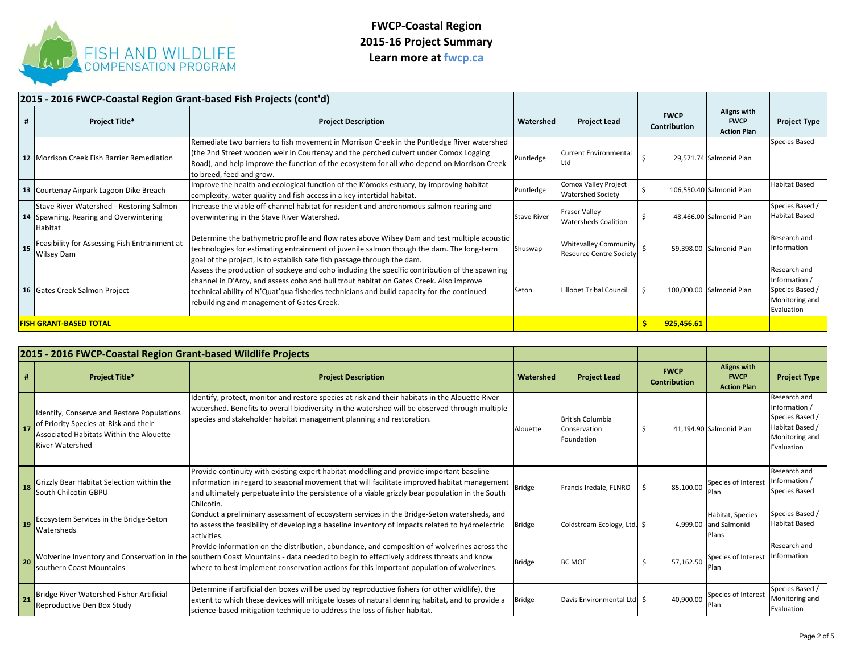

|                               | 2015 - 2016 FWCP-Coastal Region Grant-based Fish Projects (cont'd)                            |                                                                                                                                                                                                                                                                                                                                    |                    |                                                                |                                    |                                                  |                                                                                  |
|-------------------------------|-----------------------------------------------------------------------------------------------|------------------------------------------------------------------------------------------------------------------------------------------------------------------------------------------------------------------------------------------------------------------------------------------------------------------------------------|--------------------|----------------------------------------------------------------|------------------------------------|--------------------------------------------------|----------------------------------------------------------------------------------|
|                               | <b>Project Title*</b>                                                                         | <b>Project Description</b>                                                                                                                                                                                                                                                                                                         | Watershed          | <b>Project Lead</b>                                            | <b>FWCP</b><br><b>Contribution</b> | Aligns with<br><b>FWCP</b><br><b>Action Plan</b> | <b>Project Type</b>                                                              |
|                               | 12 Morrison Creek Fish Barrier Remediation                                                    | Remediate two barriers to fish movement in Morrison Creek in the Puntledge River watershed<br>(the 2nd Street wooden weir in Courtenay and the perched culvert under Comox Logging<br>Road), and help improve the function of the ecosystem for all who depend on Morrison Creek<br>to breed, feed and grow.                       | Puntledge          | <b>Current Environmental</b><br><b>Ltd</b>                     |                                    | 29,571.74 Salmonid Plan                          | <b>Species Based</b>                                                             |
|                               | 13 Courtenay Airpark Lagoon Dike Breach                                                       | Improve the health and ecological function of the K'ómoks estuary, by improving habitat<br>complexity, water quality and fish access in a key intertidal habitat.                                                                                                                                                                  | Puntledge          | <b>Comox Valley Project</b><br><b>Watershed Society</b>        |                                    | 106,550.40 Salmonid Plan                         | <b>Habitat Based</b>                                                             |
|                               | Stave River Watershed - Restoring Salmon<br>14 Spawning, Rearing and Overwintering<br>Habitat | Increase the viable off-channel habitat for resident and andronomous salmon rearing and<br>overwintering in the Stave River Watershed.                                                                                                                                                                                             | <b>Stave River</b> | <b>Fraser Valley</b><br><b>Watersheds Coalition</b>            |                                    | 48,466.00 Salmonid Plan                          | Species Based /<br><b>Habitat Based</b>                                          |
| 15                            | Feasibility for Assessing Fish Entrainment at<br><b>Wilsey Dam</b>                            | Determine the bathymetric profile and flow rates above Wilsey Dam and test multiple acoustic<br>technologies for estimating entrainment of juvenile salmon though the dam. The long-term<br>goal of the project, is to establish safe fish passage through the dam.                                                                | Shuswap            | <b>Whitevalley Community</b><br><b>Resource Centre Society</b> |                                    | 59,398.00 Salmonid Plan                          | Research and<br>Information                                                      |
|                               | 16 Gates Creek Salmon Project                                                                 | Assess the production of sockeye and coho including the specific contribution of the spawning<br>channel in D'Arcy, and assess coho and bull trout habitat on Gates Creek. Also improve<br>technical ability of N'Quat'qua fisheries technicians and build capacity for the continued<br>rebuilding and management of Gates Creek. | Seton              | Lillooet Tribal Council                                        |                                    | 100,000.00 Salmonid Plan                         | Research and<br>Information /<br>Species Based /<br>Monitoring and<br>Evaluation |
| <b>FISH GRANT-BASED TOTAL</b> |                                                                                               |                                                                                                                                                                                                                                                                                                                                    |                    | 925,456.61                                                     |                                    |                                                  |                                                                                  |

|    | 2015 - 2016 FWCP-Coastal Region Grant-based Wildlife Projects                                                                                            |                                                                                                                                                                                                                                                                                                                                  |               |                                                       |                                    |                                                         |                                                                                                     |
|----|----------------------------------------------------------------------------------------------------------------------------------------------------------|----------------------------------------------------------------------------------------------------------------------------------------------------------------------------------------------------------------------------------------------------------------------------------------------------------------------------------|---------------|-------------------------------------------------------|------------------------------------|---------------------------------------------------------|-----------------------------------------------------------------------------------------------------|
| #  | <b>Project Title*</b>                                                                                                                                    | <b>Project Description</b>                                                                                                                                                                                                                                                                                                       | Watershed     | <b>Project Lead</b>                                   | <b>FWCP</b><br><b>Contribution</b> | <b>Aligns with</b><br><b>FWCP</b><br><b>Action Plan</b> | <b>Project Type</b>                                                                                 |
| 17 | Identify, Conserve and Restore Populations<br>of Priority Species-at-Risk and their<br>Associated Habitats Within the Alouette<br><b>River Watershed</b> | Identify, protect, monitor and restore species at risk and their habitats in the Alouette River<br>watershed. Benefits to overall biodiversity in the watershed will be observed through multiple<br>species and stakeholder habitat management planning and restoration.                                                        | Alouette      | <b>British Columbia</b><br>Conservation<br>Foundation | -S                                 | 41,194.90 Salmonid Plan                                 | Research and<br>Information /<br>Species Based /<br>Habitat Based /<br>Monitoring and<br>Evaluation |
| 18 | Grizzly Bear Habitat Selection within the<br><b>South Chilcotin GBPU</b>                                                                                 | Provide continuity with existing expert habitat modelling and provide important baseline<br>information in regard to seasonal movement that will facilitate improved habitat management<br>and ultimately perpetuate into the persistence of a viable grizzly bear population in the South<br>Chilcotin.                         | <b>Bridge</b> | Francis Iredale, FLNRO                                | 85,100.00                          | Species of Interest<br>Plan                             | Research and<br>Information /<br><b>Species Based</b>                                               |
| 19 | Ecosystem Services in the Bridge-Seton<br><b>Watersheds</b>                                                                                              | Conduct a preliminary assessment of ecosystem services in the Bridge-Seton watersheds, and<br>to assess the feasibility of developing a baseline inventory of impacts related to hydroelectric<br>activities.                                                                                                                    | <b>Bridge</b> | Coldstream Ecology, Ltd. \$                           |                                    | Habitat, Species<br>4,999.00 and Salmonid<br>Plans      | Species Based /<br><b>Habitat Based</b>                                                             |
| 20 | southern Coast Mountains                                                                                                                                 | Provide information on the distribution, abundance, and composition of wolverines across the<br>Wolverine Inventory and Conservation in the southern Coast Mountains - data needed to begin to effectively address threats and know<br>where to best implement conservation actions for this important population of wolverines. | <b>Bridge</b> | <b>BC MOE</b>                                         | 57.162.50                          | Species of Interest<br>Plan                             | Research and<br>Information                                                                         |
| 21 | Bridge River Watershed Fisher Artificial<br>Reproductive Den Box Study                                                                                   | Determine if artificial den boxes will be used by reproductive fishers (or other wildlife), the<br>extent to which these devices will mitigate losses of natural denning habitat, and to provide a<br>science-based mitigation technique to address the loss of fisher habitat.                                                  | Bridge        | Davis Environmental Ltd   \$                          | 40.900.00                          | Species of Interest<br>'lan                             | Species Based /<br>Monitoring and<br>Evaluation                                                     |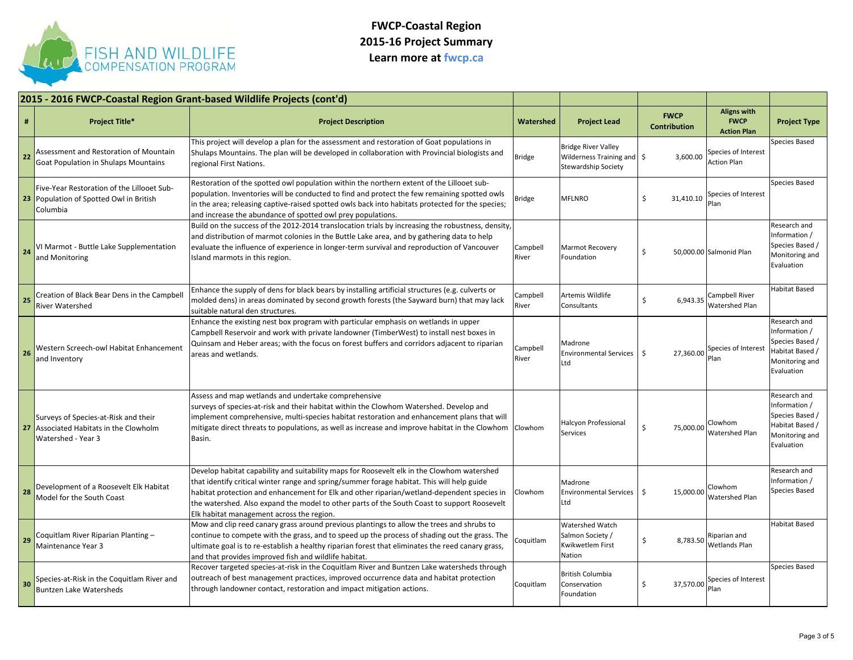

|    |                                                                                                   | 2015 - 2016 FWCP-Coastal Region Grant-based Wildlife Projects (cont'd)                                                                                                                                                                                                                                                                                                                                                             |                   |                                                                                       |                                    |                                                         |                                                                                                     |
|----|---------------------------------------------------------------------------------------------------|------------------------------------------------------------------------------------------------------------------------------------------------------------------------------------------------------------------------------------------------------------------------------------------------------------------------------------------------------------------------------------------------------------------------------------|-------------------|---------------------------------------------------------------------------------------|------------------------------------|---------------------------------------------------------|-----------------------------------------------------------------------------------------------------|
| #  | <b>Project Title*</b>                                                                             | <b>Project Description</b>                                                                                                                                                                                                                                                                                                                                                                                                         | Watershed         | <b>Project Lead</b>                                                                   | <b>FWCP</b><br><b>Contribution</b> | <b>Aligns with</b><br><b>FWCP</b><br><b>Action Plan</b> | <b>Project Type</b>                                                                                 |
| 22 | Assessment and Restoration of Mountain<br><b>Goat Population in Shulaps Mountains</b>             | This project will develop a plan for the assessment and restoration of Goat populations in<br>Shulaps Mountains. The plan will be developed in collaboration with Provincial biologists and<br>regional First Nations.                                                                                                                                                                                                             | <b>Bridge</b>     | <b>Bridge River Valley</b><br>Wilderness Training and S<br><b>Stewardship Society</b> | 3,600.00                           | Species of Interest<br><b>Action Plan</b>               | Species Based                                                                                       |
|    | Five-Year Restoration of the Lillooet Sub-<br>23 Population of Spotted Owl in British<br>Columbia | Restoration of the spotted owl population within the northern extent of the Lillooet sub-<br>population. Inventories will be conducted to find and protect the few remaining spotted owls<br>in the area; releasing captive-raised spotted owls back into habitats protected for the species;<br>and increase the abundance of spotted owl prey populations.                                                                       | ridge             | <b>MFLNRO</b>                                                                         | Ŝ.<br>31,410.10                    | Species of Interest<br>Plan                             | Species Based                                                                                       |
| 24 | VI Marmot - Buttle Lake Supplementation<br>and Monitoring                                         | Build on the success of the 2012-2014 translocation trials by increasing the robustness, density,<br>and distribution of marmot colonies in the Buttle Lake area, and by gathering data to help<br>evaluate the influence of experience in longer-term survival and reproduction of Vancouver<br>Island marmots in this region.                                                                                                    | Campbell<br>River | <b>Marmot Recovery</b><br>Foundation                                                  | Ŝ                                  | 50,000.00 Salmonid Plan                                 | Research and<br>Information /<br>Species Based /<br>Monitoring and<br>Evaluation                    |
| 25 | Creation of Black Bear Dens in the Campbell<br>River Watershed                                    | Enhance the supply of dens for black bears by installing artificial structures (e.g. culverts or<br>molded dens) in areas dominated by second growth forests (the Sayward burn) that may lack<br>suitable natural den structures.                                                                                                                                                                                                  | Campbell<br>River | Artemis Wildlife<br>Consultants                                                       | \$<br>6,943.35                     | Campbell River<br>Watershed Plan                        | Habitat Based                                                                                       |
| 26 | Western Screech-owl Habitat Enhancement<br>and Inventory                                          | Enhance the existing nest box program with particular emphasis on wetlands in upper<br>Campbell Reservoir and work with private landowner (TimberWest) to install nest boxes in<br>Quinsam and Heber areas; with the focus on forest buffers and corridors adjacent to riparian<br>areas and wetlands.                                                                                                                             | Campbell<br>River | Madrone<br><b>Environmental Services</b><br>Ltd                                       | 27,360.00<br>-\$                   | Species of Interest<br>Plan                             | Research and<br>Information /<br>Species Based /<br>Habitat Based /<br>Monitoring and<br>Evaluation |
| 27 | Surveys of Species-at-Risk and their<br>Associated Habitats in the Clowholm<br>Watershed - Year 3 | Assess and map wetlands and undertake comprehensive<br>surveys of species-at-risk and their habitat within the Clowhom Watershed. Develop and<br>limplement comprehensive, multi-species habitat restoration and enhancement plans that will<br>mitigate direct threats to populations, as well as increase and improve habitat in the Clowhom<br>Basin.                                                                           | Clowhom           | <b>Halcyon Professional</b><br>Services                                               | \$<br>75,000.00                    | Clowhom<br>Watershed Plan                               | Research and<br>Information /<br>Species Based /<br>Habitat Based /<br>Monitoring and<br>Evaluation |
| 28 | Development of a Roosevelt Elk Habitat<br>Model for the South Coast                               | Develop habitat capability and suitability maps for Roosevelt elk in the Clowhom watershed<br>that identify critical winter range and spring/summer forage habitat. This will help guide<br>habitat protection and enhancement for Elk and other riparian/wetland-dependent species in<br>the watershed. Also expand the model to other parts of the South Coast to support Roosevelt<br>Elk habitat management across the region. | Clowhom           | Madrone<br><b>Environmental Services</b><br>Ltd                                       | 15.000.00<br>-\$                   | Clowhom<br>Watershed Plan                               | Research and<br>Information /<br>Species Based                                                      |
| 29 | Coquitlam River Riparian Planting -<br>Maintenance Year 3                                         | Mow and clip reed canary grass around previous plantings to allow the trees and shrubs to<br>continue to compete with the grass, and to speed up the process of shading out the grass. The<br>ultimate goal is to re-establish a healthy riparian forest that eliminates the reed canary grass,<br>and that provides improved fish and wildlife habitat.                                                                           | Coquitlam         | <b>Watershed Watch</b><br>Salmon Society /<br><b>Kwikwetlem First</b><br>Nation       | \$<br>8,783.50                     | Riparian and<br>Wetlands Plan                           | <b>Habitat Based</b>                                                                                |
| 30 | Species-at-Risk in the Coquitlam River and<br><b>Buntzen Lake Watersheds</b>                      | Recover targeted species-at-risk in the Coquitlam River and Buntzen Lake watersheds through<br>outreach of best management practices, improved occurrence data and habitat protection<br>through landowner contact, restoration and impact mitigation actions.                                                                                                                                                                     | Coquitlam         | <b>British Columbia</b><br>Conservation<br>Foundation                                 | \$<br>37,570.00                    | Species of Interest<br>Plan                             | <b>Species Based</b>                                                                                |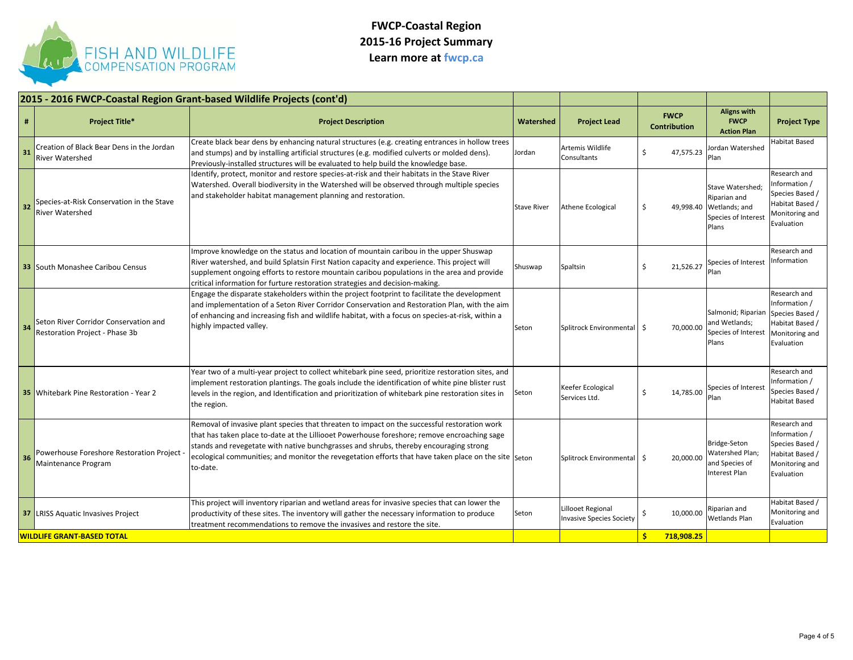

|    |                                                                         | 2015 - 2016 FWCP-Coastal Region Grant-based Wildlife Projects (cont'd)                                                                                                                                                                                                                                                                                                                                   |                    |                                                      |                                    |                                                                                             |                                                                                                     |
|----|-------------------------------------------------------------------------|----------------------------------------------------------------------------------------------------------------------------------------------------------------------------------------------------------------------------------------------------------------------------------------------------------------------------------------------------------------------------------------------------------|--------------------|------------------------------------------------------|------------------------------------|---------------------------------------------------------------------------------------------|-----------------------------------------------------------------------------------------------------|
| #  | <b>Project Title*</b>                                                   | <b>Project Description</b>                                                                                                                                                                                                                                                                                                                                                                               | Watershed          | <b>Project Lead</b>                                  | <b>FWCP</b><br><b>Contribution</b> | <b>Aligns with</b><br><b>FWCP</b><br><b>Action Plan</b>                                     | <b>Project Type</b>                                                                                 |
| 31 | Creation of Black Bear Dens in the Jordan<br>River Watershed            | Create black bear dens by enhancing natural structures (e.g. creating entrances in hollow trees<br>and stumps) and by installing artificial structures (e.g. modified culverts or molded dens).<br>Previously-installed structures will be evaluated to help build the knowledge base.                                                                                                                   | Jordan             | Artemis Wildlife<br>Consultants                      | 47,575.23<br>Ŝ                     | Jordan Watershed<br>Plan                                                                    | Habitat Based                                                                                       |
| 32 | Species-at-Risk Conservation in the Stave<br>River Watershed            | Identify, protect, monitor and restore species-at-risk and their habitats in the Stave River<br>Watershed. Overall biodiversity in the Watershed will be observed through multiple species<br>and stakeholder habitat management planning and restoration.                                                                                                                                               | <b>Stave River</b> | <b>Athene Ecological</b>                             | \$                                 | Stave Watershed;<br>Riparian and<br>49,998.40 Wetlands; and<br>Species of Interest<br>Plans | Research and<br>nformation /<br>Species Based /<br>Habitat Based /<br>Monitoring and<br>Evaluation  |
|    | <b>33</b> South Monashee Caribou Census                                 | Improve knowledge on the status and location of mountain caribou in the upper Shuswap<br>River watershed, and build Splatsin First Nation capacity and experience. This project will<br>supplement ongoing efforts to restore mountain caribou populations in the area and provide<br>critical information for furture restoration strategies and decision-making.                                       | Shuswap            | Spaltsin                                             | 21,526.27<br>Ŝ.                    | Species of Interest<br>Plan                                                                 | Research and<br>nformation                                                                          |
| 34 | Seton River Corridor Conservation and<br>Restoration Project - Phase 3b | Engage the disparate stakeholders within the project footprint to facilitate the development<br>and implementation of a Seton River Corridor Conservation and Restoration Plan, with the aim<br>of enhancing and increasing fish and wildlife habitat, with a focus on species-at-risk, within a<br>highly impacted valley.                                                                              | Seton              | Splitrock Environmental   \$                         | 70,000.00                          | Salmonid; Riparian<br>and Wetlands:<br>Species of Interest<br>Plans                         | Research and<br>Information /<br>Species Based /<br>Habitat Based /<br>Monitoring and<br>Evaluation |
|    | <b>35</b> Whitebark Pine Restoration - Year 2                           | Year two of a multi-year project to collect whitebark pine seed, prioritize restoration sites, and<br>implement restoration plantings. The goals include the identification of white pine blister rust<br>levels in the region, and Identification and prioritization of whitebark pine restoration sites in<br>the region.                                                                              | Seton              | Keefer Ecological<br>Services Ltd.                   | Ś.<br>14,785.00                    | Species of Interest<br>Plan                                                                 | Research and<br>nformation /<br>Species Based /<br>Habitat Based                                    |
| 36 | Powerhouse Foreshore Restoration Project<br>Maintenance Program         | Removal of invasive plant species that threaten to impact on the successful restoration work<br>that has taken place to-date at the Lilliooet Powerhouse foreshore; remove encroaching sage<br>stands and revegetate with native bunchgrasses and shrubs, thereby encouraging strong<br>ecological communities; and monitor the revegetation efforts that have taken place on the site Seton<br>to-date. |                    | Splitrock Environmental   \$                         | 20,000.00                          | Bridge-Seton<br>Watershed Plan;<br>and Species of<br>Interest Plan                          | Research and<br>Information /<br>Species Based /<br>Habitat Based /<br>Monitoring and<br>Evaluation |
|    | <b>37 LRISS Aquatic Invasives Project</b>                               | This project will inventory riparian and wetland areas for invasive species that can lower the<br>productivity of these sites. The inventory will gather the necessary information to produce<br>treatment recommendations to remove the invasives and restore the site.                                                                                                                                 | Seton              | Lillooet Regional<br><b>Invasive Species Society</b> | 10,000.00                          | Riparian and<br>Wetlands Plan                                                               | Habitat Based /<br>Monitoring and<br>Evaluation                                                     |
|    | <b>WILDLIFE GRANT-BASED TOTAL</b>                                       |                                                                                                                                                                                                                                                                                                                                                                                                          |                    |                                                      | <b>S</b><br>718,908.25             |                                                                                             |                                                                                                     |